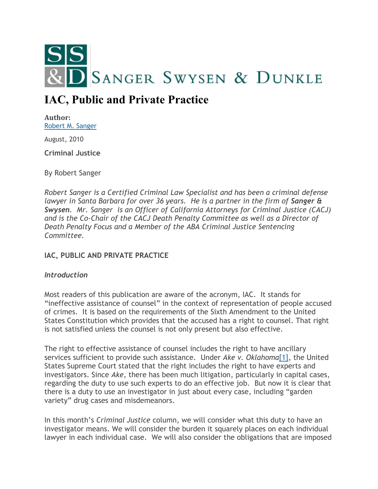

# **IAC, Public and Private Practice**

**Author:** [Robert M. Sanger](http://sangerswysen.com/robert-m-sanger)

August, 2010

**Criminal Justice**

By Robert Sanger

*Robert Sanger is a Certified Criminal Law Specialist and has been a criminal defense lawyer in Santa Barbara for over 36 years. He is a partner in the firm of Sanger & Swysen. Mr. Sanger is an Officer of California Attorneys for Criminal Justice (CACJ) and is the Co-Chair of the CACJ Death Penalty Committee as well as a Director of Death Penalty Focus and a Member of the ABA Criminal Justice Sentencing Committee.*

# **IAC, PUBLIC AND PRIVATE PRACTICE**

# *Introduction*

Most readers of this publication are aware of the acronym, IAC. It stands for "ineffective assistance of counsel" in the context of representation of people accused of crimes. It is based on the requirements of the Sixth Amendment to the United States Constitution which provides that the accused has a right to counsel. That right is not satisfied unless the counsel is not only present but also effective.

The right to effective assistance of counsel includes the right to have ancillary services sufficient to provide such assistance. Under *Ake v. Oklahoma*[\[1\],](#page-5-0) the United States Supreme Court stated that the right includes the right to have experts and investigators. Since *Ake*, there has been much litigation, particularly in capital cases, regarding the duty to use such experts to do an effective job. But now it is clear that there is a duty to use an investigator in just about every case, including "garden variety" drug cases and misdemeanors.

In this month's *Criminal Justice* column, we will consider what this duty to have an investigator means. We will consider the burden it squarely places on each individual lawyer in each individual case. We will also consider the obligations that are imposed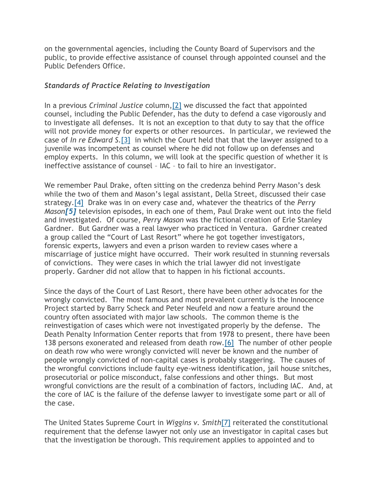on the governmental agencies, including the County Board of Supervisors and the public, to provide effective assistance of counsel through appointed counsel and the Public Defenders Office.

### *Standards of Practice Relating to Investigation*

In a previous *Criminal Justice* column[,\[2\]](#page-5-1) we discussed the fact that appointed counsel, including the Public Defender, has the duty to defend a case vigorously and to investigate all defenses. It is not an exception to that duty to say that the office will not provide money for experts or other resources. In particular, we reviewed the case of *In re Edward S*[.\[3\]](#page-5-2) in which the Court held that that the lawyer assigned to a juvenile was incompetent as counsel where he did not follow up on defenses and employ experts. In this column, we will look at the specific question of whether it is ineffective assistance of counsel – IAC – to fail to hire an investigator.

We remember Paul Drake, often sitting on the credenza behind Perry Mason's desk while the two of them and Mason's legal assistant, Della Street, discussed their case strategy[.\[4\]](#page-5-3) Drake was in on every case and, whatever the theatrics of the *Perry Mason[\[5\]](#page-5-4)* television episodes, in each one of them, Paul Drake went out into the field and investigated. Of course, *Perry Mason* was the fictional creation of Erle Stanley Gardner. But Gardner was a real lawyer who practiced in Ventura. Gardner created a group called the "Court of Last Resort" where he got together investigators, forensic experts, lawyers and even a prison warden to review cases where a miscarriage of justice might have occurred. Their work resulted in stunning reversals of convictions. They were cases in which the trial lawyer did not investigate properly. Gardner did not allow that to happen in his fictional accounts.

Since the days of the Court of Last Resort, there have been other advocates for the wrongly convicted. The most famous and most prevalent currently is the Innocence Project started by Barry Scheck and Peter Neufeld and now a feature around the country often associated with major law schools. The common theme is the reinvestigation of cases which were not investigated properly by the defense. The Death Penalty Information Center reports that from 1978 to present, there have been 138 persons exonerated and released from death row[.\[6\]](#page-5-5) The number of other people on death row who were wrongly convicted will never be known and the number of people wrongly convicted of non-capital cases is probably staggering. The causes of the wrongful convictions include faulty eye-witness identification, jail house snitches, prosecutorial or police misconduct, false confessions and other things. But most wrongful convictions are the result of a combination of factors, including IAC. And, at the core of IAC is the failure of the defense lawyer to investigate some part or all of the case.

The United States Supreme Court in *Wiggins v. Smith*[\[7\]](#page-5-6) reiterated the constitutional requirement that the defense lawyer not only use an investigator in capital cases but that the investigation be thorough. This requirement applies to appointed and to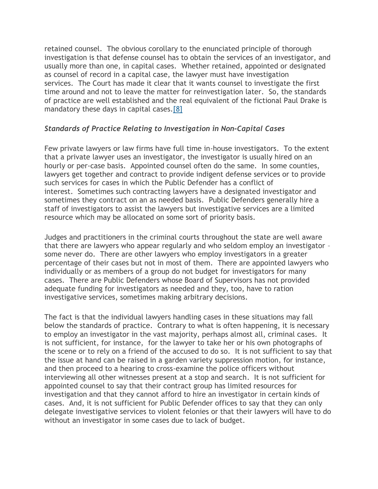retained counsel. The obvious corollary to the enunciated principle of thorough investigation is that defense counsel has to obtain the services of an investigator, and usually more than one, in capital cases. Whether retained, appointed or designated as counsel of record in a capital case, the lawyer must have investigation services. The Court has made it clear that it wants counsel to investigate the first time around and not to leave the matter for reinvestigation later. So, the standards of practice are well established and the real equivalent of the fictional Paul Drake is mandatory these days in capital cases[.\[8\]](#page-5-7)

#### *Standards of Practice Relating to Investigation in Non-Capital Cases*

Few private lawyers or law firms have full time in-house investigators. To the extent that a private lawyer uses an investigator, the investigator is usually hired on an hourly or per-case basis. Appointed counsel often do the same. In some counties, lawyers get together and contract to provide indigent defense services or to provide such services for cases in which the Public Defender has a conflict of interest. Sometimes such contracting lawyers have a designated investigator and sometimes they contract on an as needed basis. Public Defenders generally hire a staff of investigators to assist the lawyers but investigative services are a limited resource which may be allocated on some sort of priority basis.

Judges and practitioners in the criminal courts throughout the state are well aware that there are lawyers who appear regularly and who seldom employ an investigator – some never do. There are other lawyers who employ investigators in a greater percentage of their cases but not in most of them. There are appointed lawyers who individually or as members of a group do not budget for investigators for many cases. There are Public Defenders whose Board of Supervisors has not provided adequate funding for investigators as needed and they, too, have to ration investigative services, sometimes making arbitrary decisions.

The fact is that the individual lawyers handling cases in these situations may fall below the standards of practice. Contrary to what is often happening, it is necessary to employ an investigator in the vast majority, perhaps almost all, criminal cases. It is not sufficient, for instance, for the lawyer to take her or his own photographs of the scene or to rely on a friend of the accused to do so. It is not sufficient to say that the issue at hand can be raised in a garden variety suppression motion, for instance, and then proceed to a hearing to cross-examine the police officers without interviewing all other witnesses present at a stop and search. It is not sufficient for appointed counsel to say that their contract group has limited resources for investigation and that they cannot afford to hire an investigator in certain kinds of cases. And, it is not sufficient for Public Defender offices to say that they can only delegate investigative services to violent felonies or that their lawyers will have to do without an investigator in some cases due to lack of budget.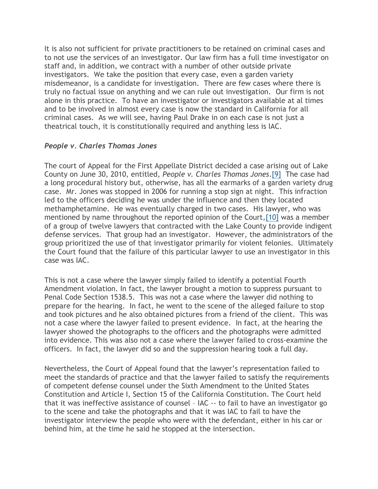It is also not sufficient for private practitioners to be retained on criminal cases and to not use the services of an investigator. Our law firm has a full time investigator on staff and, in addition, we contract with a number of other outside private investigators. We take the position that every case, even a garden variety misdemeanor, is a candidate for investigation. There are few cases where there is truly no factual issue on anything and we can rule out investigation. Our firm is not alone in this practice. To have an investigator or investigators available at al times and to be involved in almost every case is now the standard in California for all criminal cases. As we will see, having Paul Drake in on each case is not just a theatrical touch, it is constitutionally required and anything less is IAC.

#### *People v. Charles Thomas Jones*

The court of Appeal for the First Appellate District decided a case arising out of Lake County on June 30, 2010, entitled, *People v. Charles Thomas Jones*[.\[9\]](#page-5-8) The case had a long procedural history but, otherwise, has all the earmarks of a garden variety drug case. Mr. Jones was stopped in 2006 for running a stop sign at night. This infraction led to the officers deciding he was under the influence and then they located methamphetamine. He was eventually charged in two cases. His lawyer, who was mentioned by name throughout the reported opinion of the Court[,\[10\]](#page-5-9) was a member of a group of twelve lawyers that contracted with the Lake County to provide indigent defense services. That group had an investigator. However, the administrators of the group prioritized the use of that investigator primarily for violent felonies. Ultimately the Court found that the failure of this particular lawyer to use an investigator in this case was IAC.

This is not a case where the lawyer simply failed to identify a potential Fourth Amendment violation. In fact, the lawyer brought a motion to suppress pursuant to Penal Code Section 1538.5. This was not a case where the lawyer did nothing to prepare for the hearing. In fact, he went to the scene of the alleged failure to stop and took pictures and he also obtained pictures from a friend of the client. This was not a case where the lawyer failed to present evidence. In fact, at the hearing the lawyer showed the photographs to the officers and the photographs were admitted into evidence. This was also not a case where the lawyer failed to cross-examine the officers. In fact, the lawyer did so and the suppression hearing took a full day.

Nevertheless, the Court of Appeal found that the lawyer's representation failed to meet the standards of practice and that the lawyer failed to satisfy the requirements of competent defense counsel under the Sixth Amendment to the United States Constitution and Article I, Section 15 of the California Constitution. The Court held that it was ineffective assistance of counsel – IAC -- to fail to have an investigator go to the scene and take the photographs and that it was IAC to fail to have the investigator interview the people who were with the defendant, either in his car or behind him, at the time he said he stopped at the intersection.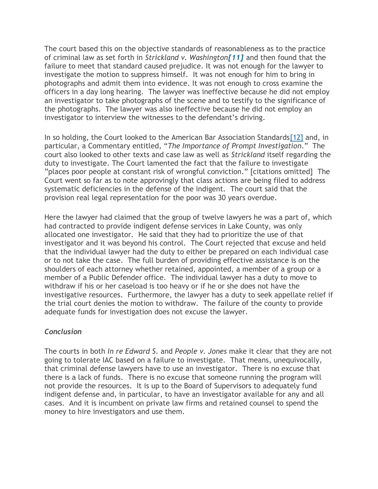The court based this on the objective standards of reasonableness as to the practice of criminal law as set forth in *Strickland v. Washington[\[11\]](#page-5-10)* and then found that the failure to meet that standard caused prejudice. It was not enough for the lawyer to investigate the motion to suppress himself. It was not enough for him to bring in photographs and admit them into evidence. It was not enough to cross examine the officers in a day long hearing. The lawyer was ineffective because he did not employ an investigator to take photographs of the scene and to testify to the significance of the photographs. The lawyer was also ineffective because he did not employ an investigator to interview the witnesses to the defendant's driving.

In so holding, the Court looked to the American Bar Association Standard[s\[12\]](#page-6-0) and, in particular, a Commentary entitled, "*The Importance of Prompt Investigation*." The court also looked to other texts and case law as well as *Strickland* itself regarding the duty to investigate. The Court lamented the fact that the failure to investigate "places poor people at constant risk of wrongful conviction." [citations omitted] The Court went so far as to note approvingly that class actions are being filed to address systematic deficiencies in the defense of the indigent. The court said that the provision real legal representation for the poor was 30 years overdue.

Here the lawyer had claimed that the group of twelve lawyers he was a part of, which had contracted to provide indigent defense services in Lake County, was only allocated one investigator. He said that they had to prioritize the use of that investigator and it was beyond his control. The Court rejected that excuse and held that the individual lawyer had the duty to either be prepared on each individual case or to not take the case. The full burden of providing effective assistance is on the shoulders of each attorney whether retained, appointed, a member of a group or a member of a Public Defender office. The individual lawyer has a duty to move to withdraw if his or her caseload is too heavy or if he or she does not have the investigative resources. Furthermore, the lawyer has a duty to seek appellate relief if the trial court denies the motion to withdraw. The failure of the county to provide adequate funds for investigation does not excuse the lawyer.

# *Conclusion*

The courts in both *In re Edward S*. and *People v. Jones* make it clear that they are not going to tolerate IAC based on a failure to investigate. That means, unequivocally, that criminal defense lawyers have to use an investigator. There is no excuse that there is a lack of funds. There is no excuse that someone running the program will not provide the resources. It is up to the Board of Supervisors to adequately fund indigent defense and, in particular, to have an investigator available for any and all cases. And it is incumbent on private law firms and retained counsel to spend the money to hire investigators and use them.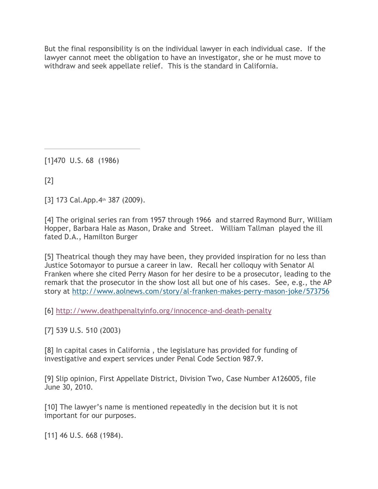But the final responsibility is on the individual lawyer in each individual case. If the lawyer cannot meet the obligation to have an investigator, she or he must move to withdraw and seek appellate relief. This is the standard in California.

<span id="page-5-0"></span>[1]470 U.S. 68 (1986)

<span id="page-5-1"></span>[2]

<span id="page-5-2"></span>[3] 173 Cal.App. 4th 387 (2009).

<span id="page-5-3"></span>[4] The original series ran from 1957 through 1966 and starred Raymond Burr, William Hopper, Barbara Hale as Mason, Drake and Street. William Tallman played the ill fated D.A., Hamilton Burger

<span id="page-5-4"></span>[5] Theatrical though they may have been, they provided inspiration for no less than Justice Sotomayor to pursue a career in law. Recall her colloquy with Senator Al Franken where she cited Perry Mason for her desire to be a prosecutor, leading to the remark that the prosecutor in the show lost all but one of his cases. See, e.g., the AP story at <http://www.aolnews.com/story/al-franken-makes-perry-mason-joke/573756>

<span id="page-5-5"></span>[6] <http://www.deathpenaltyinfo.org/innocence-and-death-penalty>

<span id="page-5-6"></span>[7] 539 U.S. 510 (2003)

<span id="page-5-7"></span>[8] In capital cases in California , the legislature has provided for funding of investigative and expert services under Penal Code Section 987.9.

<span id="page-5-8"></span>[9] Slip opinion, First Appellate District, Division Two, Case Number A126005, file June 30, 2010.

<span id="page-5-9"></span>[10] The lawyer's name is mentioned repeatedly in the decision but it is not important for our purposes.

<span id="page-5-10"></span>[11] 46 U.S. 668 (1984).